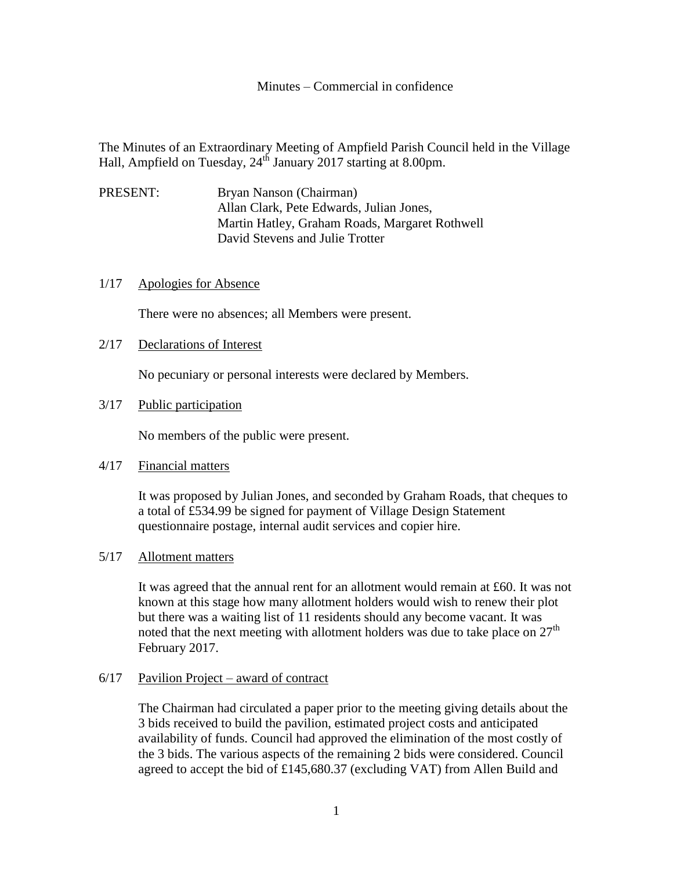Minutes – Commercial in confidence

The Minutes of an Extraordinary Meeting of Ampfield Parish Council held in the Village Hall, Ampfield on Tuesday, 24<sup>th</sup> January 2017 starting at 8.00pm.

PRESENT: Bryan Nanson (Chairman) Allan Clark, Pete Edwards, Julian Jones, Martin Hatley, Graham Roads, Margaret Rothwell David Stevens and Julie Trotter

#### 1/17 Apologies for Absence

There were no absences; all Members were present.

### 2/17 Declarations of Interest

No pecuniary or personal interests were declared by Members.

# 3/17 Public participation

No members of the public were present.

### 4/17 Financial matters

It was proposed by Julian Jones, and seconded by Graham Roads, that cheques to a total of £534.99 be signed for payment of Village Design Statement questionnaire postage, internal audit services and copier hire.

### 5/17 Allotment matters

It was agreed that the annual rent for an allotment would remain at £60. It was not known at this stage how many allotment holders would wish to renew their plot but there was a waiting list of 11 residents should any become vacant. It was noted that the next meeting with allotment holders was due to take place on  $27<sup>th</sup>$ February 2017.

# 6/17 Pavilion Project – award of contract

The Chairman had circulated a paper prior to the meeting giving details about the 3 bids received to build the pavilion, estimated project costs and anticipated availability of funds. Council had approved the elimination of the most costly of the 3 bids. The various aspects of the remaining 2 bids were considered. Council agreed to accept the bid of £145,680.37 (excluding VAT) from Allen Build and